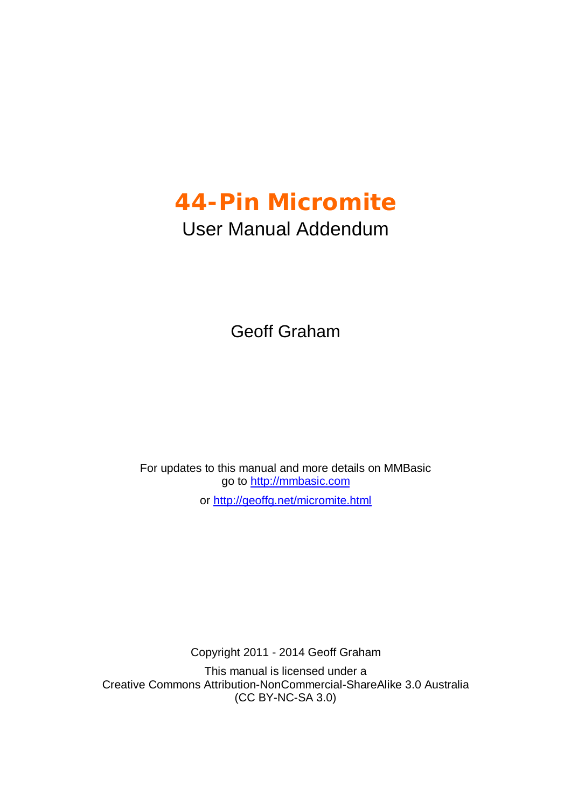## **44-Pin Micromite**

## User Manual Addendum

Geoff Graham

For updates to this manual and more details on MMBasic go to <http://mmbasic.com> or <http://geoffg.net/micromite.html>

Copyright 2011 - 2014 Geoff Graham

This manual is licensed under a Creative Commons Attribution-NonCommercial-ShareAlike 3.0 Australia (CC BY-NC-SA 3.0)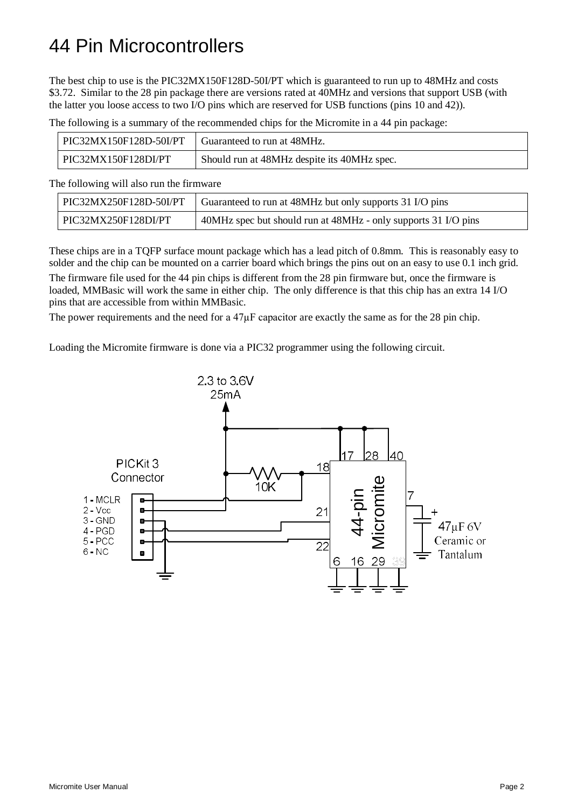## 44 Pin Microcontrollers

The best chip to use is the PIC32MX150F128D-50I/PT which is guaranteed to run up to 48MHz and costs \$3.72. Similar to the 28 pin package there are versions rated at 40MHz and versions that support USB (with the latter you loose access to two I/O pins which are reserved for USB functions (pins 10 and 42)).

The following is a summary of the recommended chips for the Micromite in a 44 pin package:

| PIC32MX150F128D-50I/PT   Guaranteed to run at $48MHz$ . |                                             |
|---------------------------------------------------------|---------------------------------------------|
| PIC32MX150F128DI/PT                                     | Should run at 48MHz despite its 40MHz spec. |

The following will also run the firmware

| PIC32MX250F128D-50I/PT | Guaranteed to run at 48MHz but only supports 31 I/O pins       |
|------------------------|----------------------------------------------------------------|
| PIC32MX250F128DI/PT    | 40MHz spec but should run at 48MHz - only supports 31 I/O pins |

These chips are in a TQFP surface mount package which has a lead pitch of 0.8mm. This is reasonably easy to solder and the chip can be mounted on a carrier board which brings the pins out on an easy to use 0.1 inch grid. The firmware file used for the 44 pin chips is different from the 28 pin firmware but, once the firmware is

loaded, MMBasic will work the same in either chip. The only difference is that this chip has an extra 14 I/O pins that are accessible from within MMBasic.

The power requirements and the need for a 47 $\mu$ F capacitor are exactly the same as for the 28 pin chip.

Loading the Micromite firmware is done via a PIC32 programmer using the following circuit.

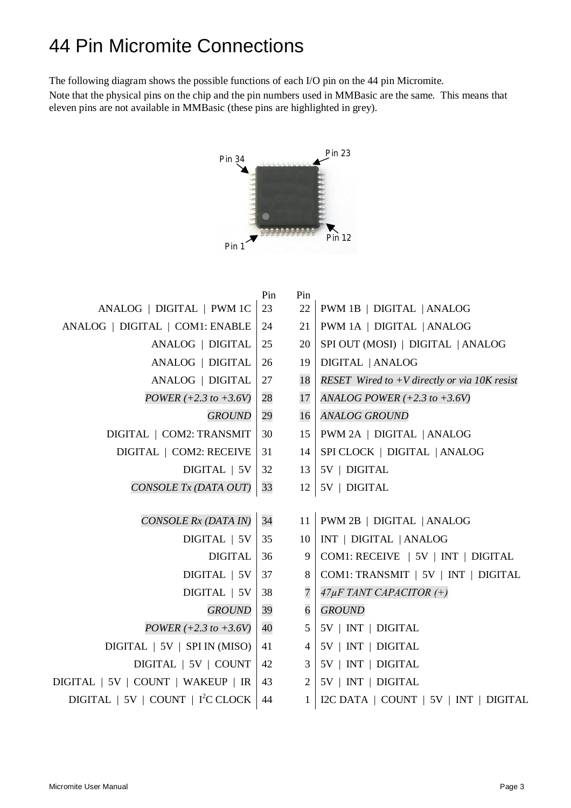## 44 Pin Micromite Connections

The following diagram shows the possible functions of each I/O pin on the 44 pin Micromite.

Note that the physical pins on the chip and the pin numbers used in MMBasic are the same. This means that eleven pins are not available in MMBasic (these pins are highlighted in grey).



|                                                            | Pin | Pin            |                                                |
|------------------------------------------------------------|-----|----------------|------------------------------------------------|
| ANALOG   DIGITAL   PWM 1C                                  | 23  | 22             | PWM 1B   DIGITAL   ANALOG                      |
| ANALOG   DIGITAL   COM1: ENABLE                            | 24  | 21             | PWM 1A   DIGITAL   ANALOG                      |
| ANALOG   DIGITAL                                           | 25  | 20             | SPI OUT (MOSI)   DIGITAL   ANALOG              |
| ANALOG   DIGITAL                                           | 26  | 19             | DIGITAL   ANALOG                               |
| ANALOG   DIGITAL                                           | 27  | 18             | RESET Wired to $+V$ directly or via 10K resist |
| $POWER (+2.3 to +3.6V)$                                    | 28  | 17             | ANALOG POWER $(+2.3$ to $+3.6$ V)              |
| <b>GROUND</b>                                              | 29  | 16             | <b>ANALOG GROUND</b>                           |
| DIGITAL   COM2: TRANSMIT                                   | 30  | 15             | PWM 2A   DIGITAL   ANALOG                      |
| DIGITAL   COM2: RECEIVE                                    | 31  | 14             | SPI CLOCK   DIGITAL   ANALOG                   |
| DIGITAL   5V                                               | 32  | 13             | 5V   DIGITAL                                   |
| CONSOLE Tx (DATA OUT)                                      | 33  | 12             | $5V$   DIGITAL                                 |
|                                                            |     |                |                                                |
| CONSOLE Rx (DATA IN)                                       | 34  | 11             | PWM 2B   DIGITAL   ANALOG                      |
| DIGITAL   5V                                               |     | 10             | INT   DIGITAL   ANALOG                         |
| <b>DIGITAL</b>                                             | 36  | 9              | COM1: RECEIVE   5V   INT   DIGITAL             |
| DIGITAL   5V                                               | 37  | 8              | COM1: TRANSMIT   5V   INT   DIGITAL            |
| DIGITAL   5V                                               | 38  | $\overline{7}$ | 47µF TANT CAPACITOR (+)                        |
| <b>GROUND</b>                                              | 39  | $\overline{6}$ | <b>GROUND</b>                                  |
| POWER $(+2.3 \text{ to } +3.6 \text{V})$                   | 40  | 5              | 5V   INT   DIGITAL                             |
| DIGITAL   5V   SPI IN (MISO)                               | 41  | 4              | 5V   INT   DIGITAL                             |
| DIGITAL   5V   COUNT                                       |     | 3 <sup>1</sup> | 5V   INT   DIGITAL                             |
| DIGITAL   5V   COUNT   WAKEUP   IR                         |     | $\overline{2}$ | $5V$   INT   DIGITAL                           |
| DIGITAL $\mid 5V \mid$ COUNT $\mid$ I <sup>2</sup> C CLOCK | 44  | $\mathbf{1}$   | I2C DATA   COUNT   5V   INT   DIGITAL          |
|                                                            |     |                |                                                |